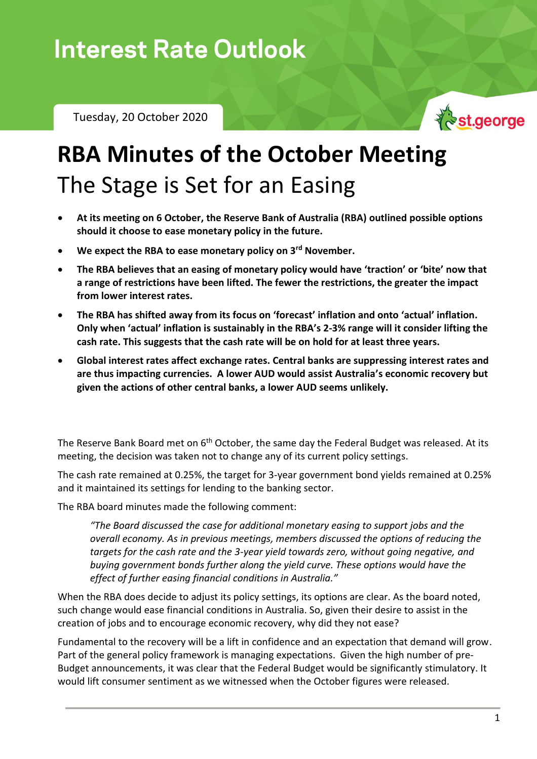Tuesday, 20 October 2020



## **RBA Minutes of the October Meeting** The Stage is Set for an Easing

- **At its meeting on 6 October, the Reserve Bank of Australia (RBA) outlined possible options should it choose to ease monetary policy in the future.**
- **We expect the RBA to ease monetary policy on 3rd November.**
- **The RBA believes that an easing of monetary policy would have 'traction' or 'bite' now that a range of restrictions have been lifted. The fewer the restrictions, the greater the impact from lower interest rates.**
- **The RBA has shifted away from its focus on 'forecast' inflation and onto 'actual' inflation. Only when 'actual' inflation is sustainably in the RBA's 2-3% range will it consider lifting the cash rate. This suggests that the cash rate will be on hold for at least three years.**
- **Global interest rates affect exchange rates. Central banks are suppressing interest rates and are thus impacting currencies. A lower AUD would assist Australia's economic recovery but given the actions of other central banks, a lower AUD seems unlikely.**

The Reserve Bank Board met on 6<sup>th</sup> October, the same day the Federal Budget was released. At its meeting, the decision was taken not to change any of its current policy settings.

The cash rate remained at 0.25%, the target for 3-year government bond yields remained at 0.25% and it maintained its settings for lending to the banking sector.

The RBA board minutes made the following comment:

*"The Board discussed the case for additional monetary easing to support jobs and the overall economy. As in previous meetings, members discussed the options of reducing the targets for the cash rate and the 3-year yield towards zero, without going negative, and buying government bonds further along the yield curve. These options would have the effect of further easing financial conditions in Australia."*

When the RBA does decide to adjust its policy settings, its options are clear. As the board noted, such change would ease financial conditions in Australia. So, given their desire to assist in the creation of jobs and to encourage economic recovery, why did they not ease?

Fundamental to the recovery will be a lift in confidence and an expectation that demand will grow. Part of the general policy framework is managing expectations. Given the high number of pre-Budget announcements, it was clear that the Federal Budget would be significantly stimulatory. It would lift consumer sentiment as we witnessed when the October figures were released.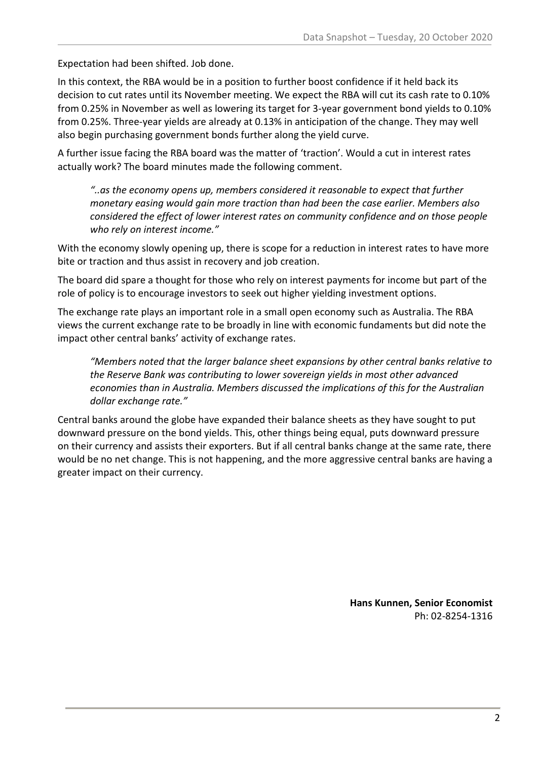Expectation had been shifted. Job done.

In this context, the RBA would be in a position to further boost confidence if it held back its decision to cut rates until its November meeting. We expect the RBA will cut its cash rate to 0.10% from 0.25% in November as well as lowering its target for 3-year government bond yields to 0.10% from 0.25%. Three-year yields are already at 0.13% in anticipation of the change. They may well also begin purchasing government bonds further along the yield curve.

A further issue facing the RBA board was the matter of 'traction'. Would a cut in interest rates actually work? The board minutes made the following comment.

*"..as the economy opens up, members considered it reasonable to expect that further monetary easing would gain more traction than had been the case earlier. Members also considered the effect of lower interest rates on community confidence and on those people who rely on interest income."*

With the economy slowly opening up, there is scope for a reduction in interest rates to have more bite or traction and thus assist in recovery and job creation.

The board did spare a thought for those who rely on interest payments for income but part of the role of policy is to encourage investors to seek out higher yielding investment options.

The exchange rate plays an important role in a small open economy such as Australia. The RBA views the current exchange rate to be broadly in line with economic fundaments but did note the impact other central banks' activity of exchange rates.

*"Members noted that the larger balance sheet expansions by other central banks relative to the Reserve Bank was contributing to lower sovereign yields in most other advanced economies than in Australia. Members discussed the implications of this for the Australian dollar exchange rate."*

Central banks around the globe have expanded their balance sheets as they have sought to put downward pressure on the bond yields. This, other things being equal, puts downward pressure on their currency and assists their exporters. But if all central banks change at the same rate, there would be no net change. This is not happening, and the more aggressive central banks are having a greater impact on their currency.

> **Hans Kunnen, Senior Economist** Ph: 02-8254-1316